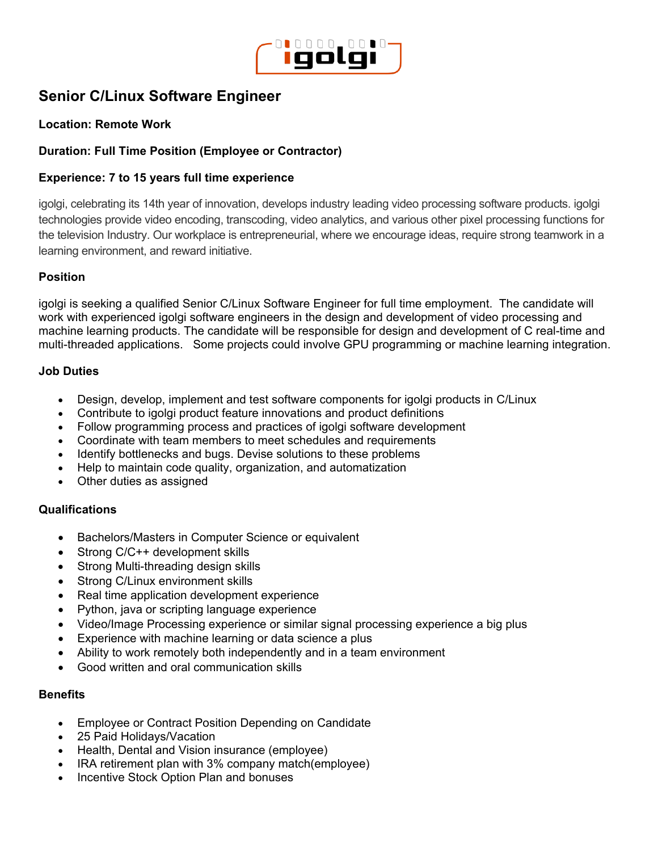

# **Senior C/Linux Software Engineer**

## **Location: Remote Work**

## **Duration: Full Time Position (Employee or Contractor)**

## **Experience: 7 to 15 years full time experience**

igolgi, celebrating its 14th year of innovation, develops industry leading video processing software products. igolgi technologies provide video encoding, transcoding, video analytics, and various other pixel processing functions for the television Industry. Our workplace is entrepreneurial, where we encourage ideas, require strong teamwork in a learning environment, and reward initiative.

#### **Position**

igolgi is seeking a qualified Senior C/Linux Software Engineer for full time employment. The candidate will work with experienced igolgi software engineers in the design and development of video processing and machine learning products. The candidate will be responsible for design and development of C real-time and multi-threaded applications. Some projects could involve GPU programming or machine learning integration.

#### **Job Duties**

- Design, develop, implement and test software components for igolgi products in C/Linux
- Contribute to igolgi product feature innovations and product definitions
- Follow programming process and practices of igolgi software development
- Coordinate with team members to meet schedules and requirements
- Identify bottlenecks and bugs. Devise solutions to these problems
- Help to maintain code quality, organization, and automatization
- Other duties as assigned

#### **Qualifications**

- Bachelors/Masters in Computer Science or equivalent
- Strong C/C++ development skills
- Strong Multi-threading design skills
- Strong C/Linux environment skills
- Real time application development experience
- Python, java or scripting language experience
- Video/Image Processing experience or similar signal processing experience a big plus
- Experience with machine learning or data science a plus
- Ability to work remotely both independently and in a team environment
- Good written and oral communication skills

#### **Benefits**

- Employee or Contract Position Depending on Candidate
- 25 Paid Holidays/Vacation
- Health, Dental and Vision insurance (employee)
- IRA retirement plan with 3% company match(employee)
- Incentive Stock Option Plan and bonuses